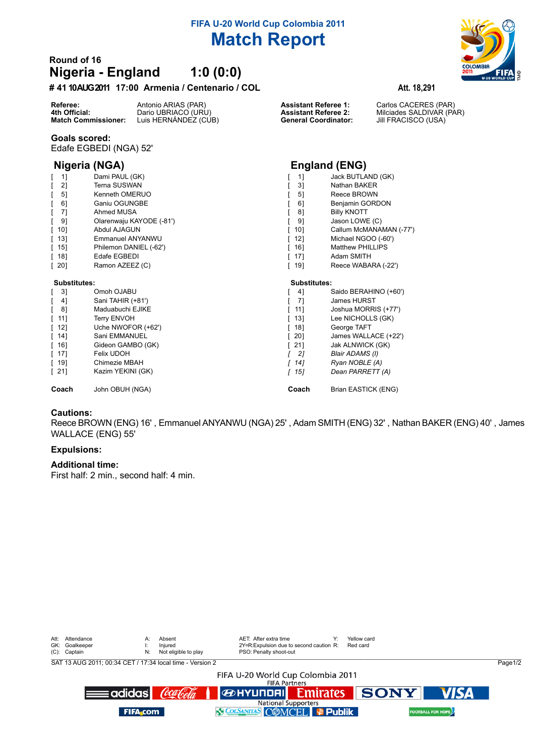# **FIFA U-20 World Cup Colombia 2011 Match Report**

## **Round of 16 Nigeria - England 1:0 (0:0)**

## **# 4110 AUG 2011 17:00 Armenia / Centenario / COL Att. 18,291**

**Referee:** Antonio ARIAS (PAR) **Assistant Referee 1:** Carlos CACERES (PAR)<br>**4th Official:** Dario UBRIACO (URU) **Assistant Referee 2:** Milciades SALDIVAR (PA **4th Official:** Dario UBRIACO (URU) **Assistant Referee 2:** Milciades SALDIVAR (PAR)<br>**Match Commissioner:** Luis HERNÁNDEZ (CUB) **Ceneral Coordinator:** Jill FRACISCO (USA) Luis HERNÁNDEZ (CÚB)

### **Goals scored:**

Edafe EGBEDI (NGA) 52'

| 11                                | Dami PAUL (GK)           | 11           | Jack BUTLAND (GK)       |  |
|-----------------------------------|--------------------------|--------------|-------------------------|--|
| 2]                                | Terna SUSWAN             | 31           | Nathan BAKER            |  |
| 5 <sup>1</sup>                    | Kenneth OMERUO           | 5]           | Reece BROWN             |  |
| 6]                                | Ganiu OGUNGBE            | 61           | Benjamin GORDON         |  |
| 7]                                | Ahmed MUSA               | 8]           | <b>Billy KNOTT</b>      |  |
| 91                                | Olarenwaju KAYODE (-81') | 91           | Jason LOWE (C)          |  |
| [ 10]                             | Abdul AJAGUN             | 101          | Callum McMANAMAN        |  |
| [ 13]                             | Emmanuel ANYANWU         | 12]          | Michael NGOO (-60')     |  |
| [ 15]                             | Philemon DANIEL (-62')   | 16]          | <b>Matthew PHILLIPS</b> |  |
| [ 18]                             | Edafe EGBEDI             | 17]          | Adam SMITH              |  |
| [ 20]                             | Ramon AZEEZ (C)          | 19]          | Reece WABARA (-22')     |  |
| Substitutes:                      |                          | Substitutes: |                         |  |
| $\begin{bmatrix} 3 \end{bmatrix}$ | Omoh OJABU               | 41           | Saido BERAHINO (+6      |  |
| $\begin{bmatrix} 4 \end{bmatrix}$ | Sani TAHIR (+81')        | 71           | James HURST             |  |
| 81                                | Maduabuchi EJIKE         |              | Joshua MORRIS (+77)     |  |
|                                   |                          | 111          |                         |  |
| [ 11]                             | Terry ENVOH              | 13]          | Lee NICHOLLS (GK)       |  |
| [ 12]                             | Uche NWOFOR (+62')       | 18]          | George TAFT             |  |
| [ 14]                             | Sani EMMANUEL            | 201          | James WALLACE (+22      |  |
| [ 16]                             | Gideon GAMBO (GK)        | 21]          | Jak ALNWICK (GK)        |  |
| [ 17]                             | Felix UDOH               | 21           | Blair ADAMS (I)         |  |
| [ 19]                             | Chimezie MBAH            | 14]          | Ryan NOBLE (A)          |  |
| [ 21]                             | Kazim YEKINI (GK)        | 15]<br>Г     | Dean PARRETT (A)        |  |



## **Nigeria (NGA) England (ENG)**

| 11 | Jack BUTLAND (GK) |
|----|-------------------|
| ٦1 | Nothon RAKED      |

- 
- 
- 
- $NAMAN$  (-77')
- 
- 
- 
- 

| $\begin{bmatrix} 3 \end{bmatrix}$  | Omoh OJABU         | 41                 | Saido BERAHINO (+60') |
|------------------------------------|--------------------|--------------------|-----------------------|
| $\begin{bmatrix} 4 \end{bmatrix}$  | Sani TAHIR (+81')  | -71                | James HURST           |
| $\begin{bmatrix} 8 \end{bmatrix}$  | Maduabuchi EJIKE   | [ 11]              | Joshua MORRIS (+77')  |
| [11]                               | <b>Terry ENVOH</b> | $\lceil$ 13]       | Lee NICHOLLS (GK)     |
| $\lceil$ 12]                       | Uche NWOFOR (+62') | [ 18]              | George TAFT           |
| $\begin{bmatrix} 14 \end{bmatrix}$ | Sani EMMANUEL      | $\lceil 20 \rceil$ | James WALLACE (+22')  |
| $\lceil$ 16]                       | Gideon GAMBO (GK)  | $\lceil 21 \rceil$ | Jak ALNWICK (GK)      |
| $\lceil$ 17]                       | Felix UDOH         | - 21               | Blair ADAMS (I)       |
| $\lceil$ 19]                       | Chimezie MBAH      | [ 14]              | Ryan NOBLE (A)        |
| $\lceil 21 \rceil$                 | Kazim YEKINI (GK)  | [ 15]              | Dean PARRETT (A)      |
| Coach                              | John OBUH (NGA)    | Coach              | Brian EASTICK (ENG)   |

## **Cautions:**

Reece BROWN (ENG) 16' , Emmanuel ANYANWU (NGA) 25' , Adam SMITH (ENG) 32' , Nathan BAKER (ENG) 40' , James WALLACE (ENG) 55'

## **Expulsions:**

## **Additional time:**

First half: 2 min., second half: 4 min.